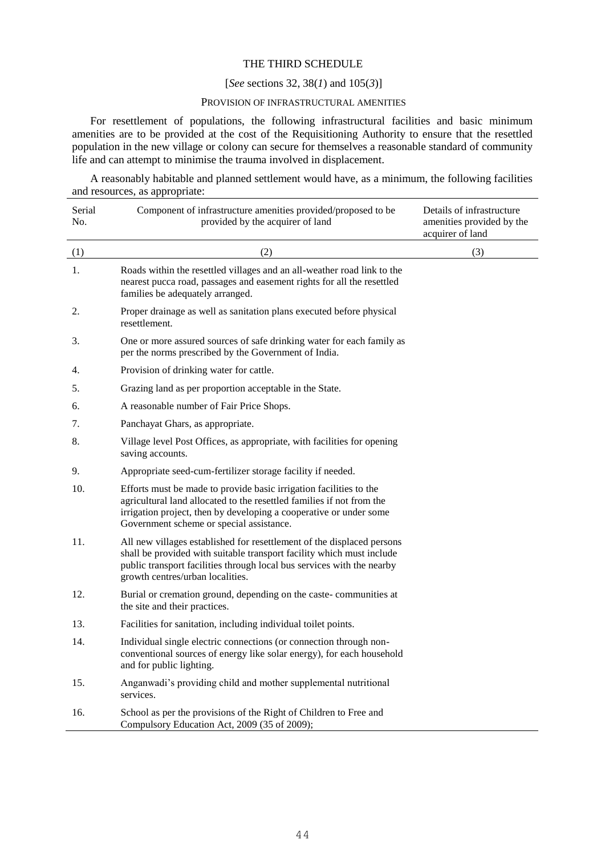## THE THIRD SCHEDULE

## [*See* sections 32, 38(*1*) and 105(*3*)]

## PROVISION OF INFRASTRUCTURAL AMENITIES

For resettlement of populations, the following infrastructural facilities and basic minimum amenities are to be provided at the cost of the Requisitioning Authority to ensure that the resettled population in the new village or colony can secure for themselves a reasonable standard of community life and can attempt to minimise the trauma involved in displacement.

A reasonably habitable and planned settlement would have, as a minimum, the following facilities and resources, as appropriate:

| Serial<br>No. | Component of infrastructure amenities provided/proposed to be<br>provided by the acquirer of land                                                                                                                                                             | Details of infrastructure<br>amenities provided by the<br>acquirer of land |
|---------------|---------------------------------------------------------------------------------------------------------------------------------------------------------------------------------------------------------------------------------------------------------------|----------------------------------------------------------------------------|
| (1)           | (2)                                                                                                                                                                                                                                                           | (3)                                                                        |
| 1.            | Roads within the resettled villages and an all-weather road link to the<br>nearest pucca road, passages and easement rights for all the resettled<br>families be adequately arranged.                                                                         |                                                                            |
| 2.            | Proper drainage as well as sanitation plans executed before physical<br>resettlement.                                                                                                                                                                         |                                                                            |
| 3.            | One or more assured sources of safe drinking water for each family as<br>per the norms prescribed by the Government of India.                                                                                                                                 |                                                                            |
| 4.            | Provision of drinking water for cattle.                                                                                                                                                                                                                       |                                                                            |
| 5.            | Grazing land as per proportion acceptable in the State.                                                                                                                                                                                                       |                                                                            |
| 6.            | A reasonable number of Fair Price Shops.                                                                                                                                                                                                                      |                                                                            |
| 7.            | Panchayat Ghars, as appropriate.                                                                                                                                                                                                                              |                                                                            |
| 8.            | Village level Post Offices, as appropriate, with facilities for opening<br>saving accounts.                                                                                                                                                                   |                                                                            |
| 9.            | Appropriate seed-cum-fertilizer storage facility if needed.                                                                                                                                                                                                   |                                                                            |
| 10.           | Efforts must be made to provide basic irrigation facilities to the<br>agricultural land allocated to the resettled families if not from the<br>irrigation project, then by developing a cooperative or under some<br>Government scheme or special assistance. |                                                                            |
| 11.           | All new villages established for resettlement of the displaced persons<br>shall be provided with suitable transport facility which must include<br>public transport facilities through local bus services with the nearby<br>growth centres/urban localities. |                                                                            |
| 12.           | Burial or cremation ground, depending on the caste-communities at<br>the site and their practices.                                                                                                                                                            |                                                                            |
| 13.           | Facilities for sanitation, including individual toilet points.                                                                                                                                                                                                |                                                                            |
| 14.           | Individual single electric connections (or connection through non-<br>conventional sources of energy like solar energy), for each household<br>and for public lighting.                                                                                       |                                                                            |
| 15.           | Anganwadi's providing child and mother supplemental nutritional<br>services.                                                                                                                                                                                  |                                                                            |
| 16.           | School as per the provisions of the Right of Children to Free and<br>Compulsory Education Act, 2009 (35 of 2009);                                                                                                                                             |                                                                            |